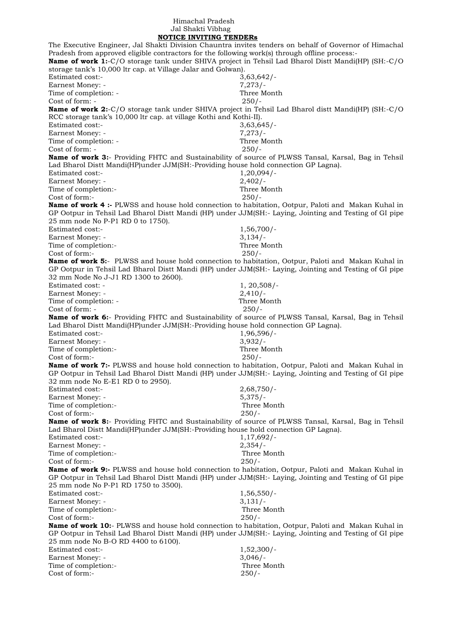## Himachal Pradesh Jal Shakti Vibhag

 **NOTICE INVITING TENDERs** The Executive Engineer, Jal Shakti Division Chauntra invites tenders on behalf of Governor of Himachal Pradesh from approved eligible contractors for the following work(s) through offline process:- **Name of work 1:**-C/O storage tank under SHIVA project in Tehsil Lad Bharol Distt Mandi(HP) (SH:-C/O storage tank's 10,000 ltr cap. at Village Jalar and Golwan). Estimated cost:- 3,63,642/- Earnest Money: - 7,273/-Time of completion: - Three Month Cost of form: - 250/- **Name of work 2:**-C/O storage tank under SHIVA project in Tehsil Lad Bharol distt Mandi(HP) (SH:-C/O RCC storage tank's 10,000 ltr cap. at village Kothi and Kothi-II). Estimated cost:- 3,63,645/- Earnest Money: - 7,273/-Time of completion: - Three Month Cost of form: - 250/- **Name of work 3:**- Providing FHTC and Sustainability of source of PLWSS Tansal, Karsal, Bag in Tehsil Lad Bharol Distt Mandi(HP)under JJM(SH:-Providing house hold connection GP Lagna). Estimated cost:- 1,20,094/- Earnest Money: - 2.402/-Time of completion:- Three Month Cost of form:- 250/- **Name of work 4 :-** PLWSS and house hold connection to habitation, Ootpur, Paloti and Makan Kuhal in GP Ootpur in Tehsil Lad Bharol Distt Mandi (HP) under JJM(SH:- Laying, Jointing and Testing of GI pipe 25 mm node No P-P1 RD 0 to 1750). Estimated cost:- 1,56,700/-Earnest Money: - 3,134/-Time of completion:- Three Month Cost of form:- 250/- **Name of work 5:**- PLWSS and house hold connection to habitation, Ootpur, Paloti and Makan Kuhal in GP Ootpur in Tehsil Lad Bharol Distt Mandi (HP) under JJM(SH:- Laying, Jointing and Testing of GI pipe 32 mm Node No J-J1 RD 1300 to 2600). Estimated cost: - 1, 20,508/-Earnest Money: - 2,410/- Time of completion: - Three Month Cost of form: - 250/- **Name of work 6:**- Providing FHTC and Sustainability of source of PLWSS Tansal, Karsal, Bag in Tehsil Lad Bharol Distt Mandi(HP)under JJM(SH:-Providing house hold connection GP Lagna). Estimated cost:- 1,96,596/- Earnest Money: - 3,932/-Time of completion:- Three Month Cost of form:- 250/- **Name of work 7:-** PLWSS and house hold connection to habitation, Ootpur, Paloti and Makan Kuhal in GP Ootpur in Tehsil Lad Bharol Distt Mandi (HP) under JJM(SH:- Laying, Jointing and Testing of GI pipe 32 mm node No E-E1 RD 0 to 2950). Estimated cost:- 2,68,750/- Earnest Money: - 5,375/-Time of completion:- Three Month Cost of form:- 250/- **Name of work 8:**- Providing FHTC and Sustainability of source of PLWSS Tansal, Karsal, Bag in Tehsil Lad Bharol Distt Mandi(HP)under JJM(SH:-Providing house hold connection GP Lagna). Estimated cost:- 1,17,692/- Earnest Money: - 2,354/-<br>Time of completion:- 2,354/-<br>Three Month Time of completion:-Cost of form:- 250/- **Name of work 9:-** PLWSS and house hold connection to habitation, Ootpur, Paloti and Makan Kuhal in GP Ootpur in Tehsil Lad Bharol Distt Mandi (HP) under JJM(SH:- Laying, Jointing and Testing of GI pipe 25 mm node No P-P1 RD 1750 to 3500). Estimated cost:- 1,56,550/-Earnest Money: - 3,131/-Time of completion:-<br>
Cost of form:-<br>
250/-Cost of form:-**Name of work 10:**- PLWSS and house hold connection to habitation, Ootpur, Paloti and Makan Kuhal in GP Ootpur in Tehsil Lad Bharol Distt Mandi (HP) under JJM(SH:- Laying, Jointing and Testing of GI pipe 25 mm node No B-O RD 4400 to 6100). Estimated cost:- 1,52,300/-Earnest Money: - 3,046/-Time of completion:- Three Month Cost of form:- 250/-